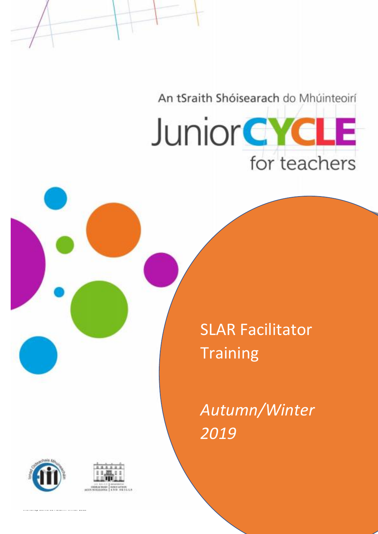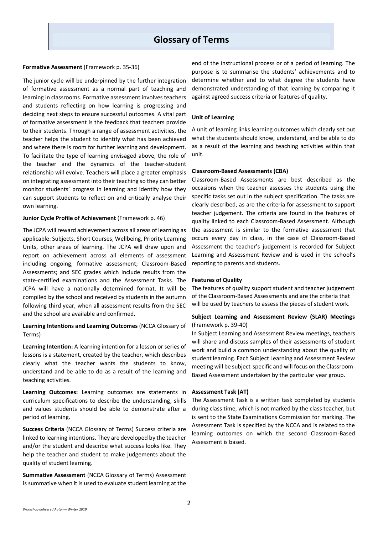# **Glossary of Terms**

#### **Formative Assessment** (Framework p. 35-36)

The junior cycle will be underpinned by the further integration of formative assessment as a normal part of teaching and learning in classrooms. Formative assessment involves teachers and students reflecting on how learning is progressing and deciding next steps to ensure successful outcomes. A vital part of formative assessment is the feedback that teachers provide to their students. Through a range of assessment activities, the teacher helps the student to identify what has been achieved and where there is room for further learning and development. To facilitate the type of learning envisaged above, the role of the teacher and the dynamics of the teacher-student relationship will evolve. Teachers will place a greater emphasis on integrating assessment into their teaching so they can better monitor students' progress in learning and identify how they can support students to reflect on and critically analyse their own learning.

#### **Junior Cycle Profile of Achievement** (Framework p. 46)

The JCPA will reward achievement across all areas of learning as applicable: Subjects, Short Courses, Wellbeing, Priority Learning Units, other areas of learning. The JCPA will draw upon and report on achievement across all elements of assessment including ongoing, formative assessment; Classroom-Based Assessments; and SEC grades which include results from the state-certified examinations and the Assessment Tasks. The JCPA will have a nationally determined format. It will be compiled by the school and received by students in the autumn following third year, when all assessment results from the SEC and the school are available and confirmed.

### **Learning Intentions and Learning Outcomes** (NCCA Glossary of Terms)

**Learning Intention:** A learning intention for a lesson or series of lessons is a statement, created by the teacher, which describes clearly what the teacher wants the students to know, understand and be able to do as a result of the learning and teaching activities.

**Learning Outcomes:** Learning outcomes are statements in curriculum specifications to describe the understanding, skills and values students should be able to demonstrate after a period of learning.

**Success Criteria** (NCCA Glossary of Terms) Success criteria are linked to learning intentions. They are developed by the teacher and/or the student and describe what success looks like. They help the teacher and student to make judgements about the quality of student learning.

**Summative Assessment** (NCCA Glossary of Terms) Assessment is summative when it is used to evaluate student learning at the

end of the instructional process or of a period of learning. The purpose is to summarise the students' achievements and to determine whether and to what degree the students have demonstrated understanding of that learning by comparing it against agreed success criteria or features of quality.

#### **Unit of Learning**

A unit of learning links learning outcomes which clearly set out what the students should know, understand, and be able to do as a result of the learning and teaching activities within that unit.

#### **Classroom-Based Assessments (CBA)**

Classroom-Based Assessments are best described as the occasions when the teacher assesses the students using the specific tasks set out in the subject specification. The tasks are clearly described, as are the criteria for assessment to support teacher judgement. The criteria are found in the features of quality linked to each Classroom-Based Assessment. Although the assessment is similar to the formative assessment that occurs every day in class, in the case of Classroom-Based Assessment the teacher's judgement is recorded for Subject Learning and Assessment Review and is used in the school's reporting to parents and students.

#### **Features of Quality**

The features of quality support student and teacher judgement of the Classroom-Based Assessments and are the criteria that will be used by teachers to assess the pieces of student work.

### **Subject Learning and Assessment Review (SLAR) Meetings** (Framework p. 39-40)

In Subject Learning and Assessment Review meetings, teachers will share and discuss samples of their assessments of student work and build a common understanding about the quality of student learning. Each Subject Learning and Assessment Review meeting will be subject-specific and will focus on the Classroom-Based Assessment undertaken by the particular year group.

#### **Assessment Task (AT)**

The Assessment Task is a written task completed by students during class time, which is not marked by the class teacher, but is sent to the State Examinations Commission for marking. The Assessment Task is specified by the NCCA and is related to the learning outcomes on which the second Classroom-Based Assessment is based.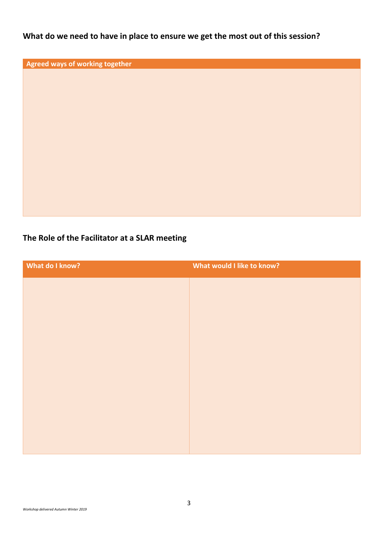**What do we need to have in place to ensure we get the most out of this session?** 

**Agreed ways of working together** 

# **The Role of the Facilitator at a SLAR meeting**

| What do I know? | What would I like to know? |
|-----------------|----------------------------|
|                 |                            |
|                 |                            |
|                 |                            |
|                 |                            |
|                 |                            |
|                 |                            |
|                 |                            |
|                 |                            |
|                 |                            |
|                 |                            |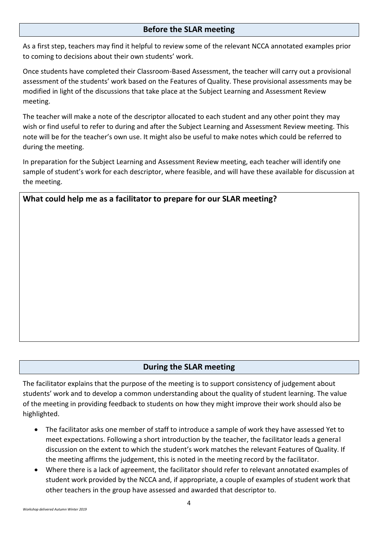## **Before the SLAR meeting**

As a first step, teachers may find it helpful to review some of the relevant NCCA annotated examples prior to coming to decisions about their own students' work.

Once students have completed their Classroom-Based Assessment, the teacher will carry out a provisional assessment of the students' work based on the Features of Quality. These provisional assessments may be modified in light of the discussions that take place at the Subject Learning and Assessment Review meeting.

The teacher will make a note of the descriptor allocated to each student and any other point they may wish or find useful to refer to during and after the Subject Learning and Assessment Review meeting. This note will be for the teacher's own use. It might also be useful to make notes which could be referred to during the meeting.

In preparation for the Subject Learning and Assessment Review meeting, each teacher will identify one sample of student's work for each descriptor, where feasible, and will have these available for discussion at the meeting.

**What could help me as a facilitator to prepare for our SLAR meeting?**

# **During the SLAR meeting**

The facilitator explains that the purpose of the meeting is to support consistency of judgement about students' work and to develop a common understanding about the quality of student learning. The value of the meeting in providing feedback to students on how they might improve their work should also be highlighted.

- The facilitator asks one member of staff to introduce a sample of work they have assessed Yet to meet expectations. Following a short introduction by the teacher, the facilitator leads a general discussion on the extent to which the student's work matches the relevant Features of Quality. If the meeting affirms the judgement, this is noted in the meeting record by the facilitator.
- Where there is a lack of agreement, the facilitator should refer to relevant annotated examples of student work provided by the NCCA and, if appropriate, a couple of examples of student work that other teachers in the group have assessed and awarded that descriptor to.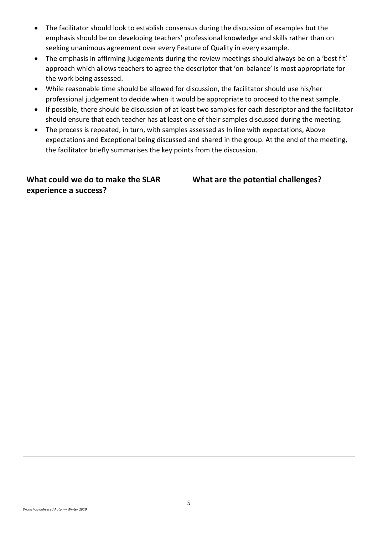- The facilitator should look to establish consensus during the discussion of examples but the emphasis should be on developing teachers' professional knowledge and skills rather than on seeking unanimous agreement over every Feature of Quality in every example.
- The emphasis in affirming judgements during the review meetings should always be on a 'best fit' approach which allows teachers to agree the descriptor that 'on-balance' is most appropriate for the work being assessed.
- While reasonable time should be allowed for discussion, the facilitator should use his/her professional judgement to decide when it would be appropriate to proceed to the next sample.
- If possible, there should be discussion of at least two samples for each descriptor and the facilitator should ensure that each teacher has at least one of their samples discussed during the meeting.
- The process is repeated, in turn, with samples assessed as In line with expectations, Above expectations and Exceptional being discussed and shared in the group. At the end of the meeting, the facilitator briefly summarises the key points from the discussion.

| What could we do to make the SLAR<br>experience a success? | What are the potential challenges? |
|------------------------------------------------------------|------------------------------------|
|                                                            |                                    |
|                                                            |                                    |
|                                                            |                                    |
|                                                            |                                    |
|                                                            |                                    |
|                                                            |                                    |
|                                                            |                                    |
|                                                            |                                    |
|                                                            |                                    |
|                                                            |                                    |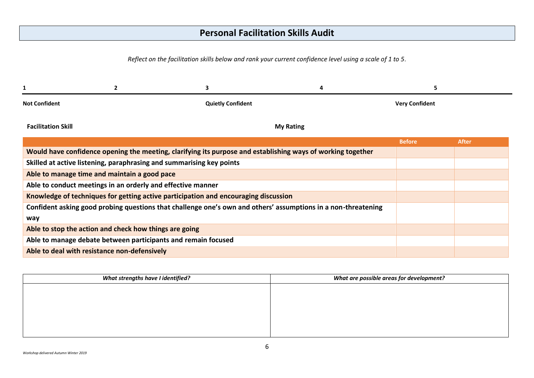# **Personal Facilitation Skills Audit**

*Reflect on the facilitation skills below and rank your current confidence level using a scale of 1 to 5.*

| <b>Not Confident</b>                                                                                          | <b>Quietly Confident</b> | <b>Very Confident</b> |              |
|---------------------------------------------------------------------------------------------------------------|--------------------------|-----------------------|--------------|
| <b>Facilitation Skill</b>                                                                                     | <b>My Rating</b>         |                       |              |
|                                                                                                               |                          | <b>Before</b>         | <b>After</b> |
| Would have confidence opening the meeting, clarifying its purpose and establishing ways of working together   |                          |                       |              |
| Skilled at active listening, paraphrasing and summarising key points                                          |                          |                       |              |
| Able to manage time and maintain a good pace                                                                  |                          |                       |              |
| Able to conduct meetings in an orderly and effective manner                                                   |                          |                       |              |
| Knowledge of techniques for getting active participation and encouraging discussion                           |                          |                       |              |
| Confident asking good probing questions that challenge one's own and others' assumptions in a non-threatening |                          |                       |              |
| way                                                                                                           |                          |                       |              |
| Able to stop the action and check how things are going                                                        |                          |                       |              |
| Able to manage debate between participants and remain focused                                                 |                          |                       |              |
| Able to deal with resistance non-defensively                                                                  |                          |                       |              |

| What strengths have I identified? | What are possible areas for development? |
|-----------------------------------|------------------------------------------|
|                                   |                                          |
|                                   |                                          |
|                                   |                                          |
|                                   |                                          |
|                                   |                                          |
|                                   |                                          |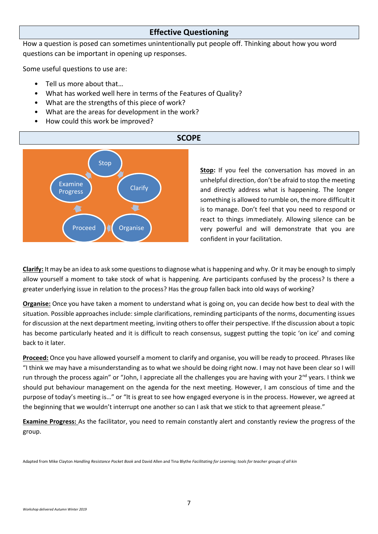## **Effective Questioning**

How a question is posed can sometimes unintentionally put people off. Thinking about how you word questions can be important in opening up responses.

Some useful questions to use are:

- Tell us more about that…
- What has worked well here in terms of the Features of Quality?
- What are the strengths of this piece of work?
- What are the areas for development in the work?
- How could this work be improved?



**Stop:** If you feel the conversation has moved in an unhelpful direction, don't be afraid to stop the meeting and directly address what is happening. The longer something is allowed to rumble on, the more difficult it is to manage. Don't feel that you need to respond or react to things immediately. Allowing silence can be very powerful and will demonstrate that you are confident in your facilitation.

**Clarify:** It may be an idea to ask some questions to diagnose what is happening and why. Or it may be enough to simply allow yourself a moment to take stock of what is happening. Are participants confused by the process? Is there a greater underlying issue in relation to the process? Has the group fallen back into old ways of working?

**Organise:** Once you have taken a moment to understand what is going on, you can decide how best to deal with the situation. Possible approaches include: simple clarifications, reminding participants of the norms, documenting issues for discussion at the next department meeting, inviting others to offer their perspective. If the discussion about a topic has become particularly heated and it is difficult to reach consensus, suggest putting the topic 'on ice' and coming back to it later.

**Proceed:** Once you have allowed yourself a moment to clarify and organise, you will be ready to proceed. Phrases like "I think we may have a misunderstanding as to what we should be doing right now. I may not have been clear so I will run through the process again" or "John, I appreciate all the challenges you are having with your 2<sup>nd</sup> years. I think we should put behaviour management on the agenda for the next meeting. However, I am conscious of time and the purpose of today's meeting is…" or "It is great to see how engaged everyone is in the process. However, we agreed at the beginning that we wouldn't interrupt one another so can I ask that we stick to that agreement please."

**Examine Progress:** As the facilitator, you need to remain constantly alert and constantly review the progress of the group.

Adapted from Mike Clayton *Handling Resistance Pocket Book* and David Allen and Tina Blythe *Facilitating for Learning; tools for teacher groups of all kin*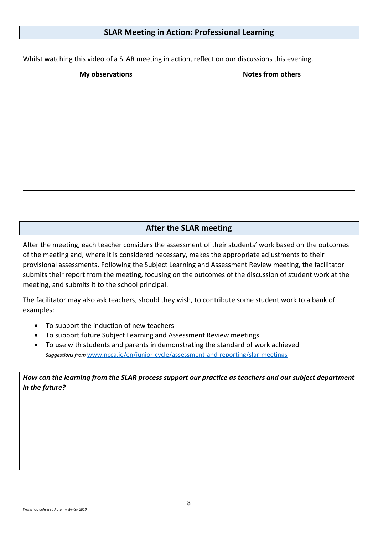## **SLAR Meeting in Action: Professional Learning**

| <b>My observations</b> | <b>Notes from others</b> |  |  |
|------------------------|--------------------------|--|--|
|                        |                          |  |  |
|                        |                          |  |  |
|                        |                          |  |  |
|                        |                          |  |  |
|                        |                          |  |  |
|                        |                          |  |  |
|                        |                          |  |  |
|                        |                          |  |  |
|                        |                          |  |  |
|                        |                          |  |  |
|                        |                          |  |  |

Whilst watching this video of a SLAR meeting in action, reflect on our discussions this evening.

# **After the SLAR meeting**

After the meeting, each teacher considers the assessment of their students' work based on the outcomes of the meeting and, where it is considered necessary, makes the appropriate adjustments to their provisional assessments. Following the Subject Learning and Assessment Review meeting, the facilitator submits their report from the meeting, focusing on the outcomes of the discussion of student work at the meeting, and submits it to the school principal.

The facilitator may also ask teachers, should they wish, to contribute some student work to a bank of examples:

- To support the induction of new teachers
- To support future Subject Learning and Assessment Review meetings
- To use with students and parents in demonstrating the standard of work achieved *Suggestions from* [www.ncca.ie/en/junior-cycle/assessment-and-reporting/slar-meetings](http://www.ncca.ie/en/junior-cycle/assessment-and-reporting/slar-meetings)

*How can the learning from the SLAR process support our practice as teachers and our subject department in the future?*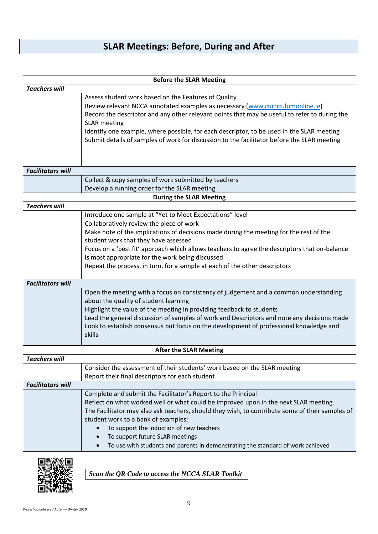# **SLAR Meetings: Before, During and After**

| <b>Before the SLAR Meeting</b> |                                                                                                                                                                                                                                                                                                                                                                                                                                                            |  |  |
|--------------------------------|------------------------------------------------------------------------------------------------------------------------------------------------------------------------------------------------------------------------------------------------------------------------------------------------------------------------------------------------------------------------------------------------------------------------------------------------------------|--|--|
| <b>Teachers will</b>           |                                                                                                                                                                                                                                                                                                                                                                                                                                                            |  |  |
|                                | Assess student work based on the Features of Quality<br>Review relevant NCCA annotated examples as necessary (www.curriculumonline.ie)<br>Record the descriptor and any other relevant points that may be useful to refer to during the<br><b>SLAR</b> meeting<br>Identify one example, where possible, for each descriptor, to be used in the SLAR meeting<br>Submit details of samples of work for discussion to the facilitator before the SLAR meeting |  |  |
| <b>Facilitators will</b>       |                                                                                                                                                                                                                                                                                                                                                                                                                                                            |  |  |
|                                | Collect & copy samples of work submitted by teachers                                                                                                                                                                                                                                                                                                                                                                                                       |  |  |
|                                | Develop a running order for the SLAR meeting                                                                                                                                                                                                                                                                                                                                                                                                               |  |  |
|                                | <b>During the SLAR Meeting</b>                                                                                                                                                                                                                                                                                                                                                                                                                             |  |  |
| <b>Teachers will</b>           |                                                                                                                                                                                                                                                                                                                                                                                                                                                            |  |  |
|                                | Introduce one sample at "Yet to Meet Expectations" level<br>Collaboratively review the piece of work                                                                                                                                                                                                                                                                                                                                                       |  |  |
|                                | Make note of the implications of decisions made during the meeting for the rest of the                                                                                                                                                                                                                                                                                                                                                                     |  |  |
|                                | student work that they have assessed                                                                                                                                                                                                                                                                                                                                                                                                                       |  |  |
|                                | Focus on a 'best fit' approach which allows teachers to agree the descriptors that on-balance                                                                                                                                                                                                                                                                                                                                                              |  |  |
|                                | is most appropriate for the work being discussed                                                                                                                                                                                                                                                                                                                                                                                                           |  |  |
|                                | Repeat the process, in turn, for a sample at each of the other descriptors                                                                                                                                                                                                                                                                                                                                                                                 |  |  |
| <b>Facilitators will</b>       |                                                                                                                                                                                                                                                                                                                                                                                                                                                            |  |  |
|                                | Open the meeting with a focus on consistency of judgement and a common understanding                                                                                                                                                                                                                                                                                                                                                                       |  |  |
|                                | about the quality of student learning                                                                                                                                                                                                                                                                                                                                                                                                                      |  |  |
|                                | Highlight the value of the meeting in providing feedback to students                                                                                                                                                                                                                                                                                                                                                                                       |  |  |
|                                | Lead the general discussion of samples of work and Descriptors and note any decisions made                                                                                                                                                                                                                                                                                                                                                                 |  |  |
|                                | Look to establish consensus but focus on the development of professional knowledge and                                                                                                                                                                                                                                                                                                                                                                     |  |  |
|                                | skills                                                                                                                                                                                                                                                                                                                                                                                                                                                     |  |  |
|                                | <b>After the SLAR Meeting</b>                                                                                                                                                                                                                                                                                                                                                                                                                              |  |  |
| <b>Teachers will</b>           |                                                                                                                                                                                                                                                                                                                                                                                                                                                            |  |  |
|                                | Consider the assessment of their students' work based on the SLAR meeting                                                                                                                                                                                                                                                                                                                                                                                  |  |  |
|                                | Report their final descriptors for each student                                                                                                                                                                                                                                                                                                                                                                                                            |  |  |
| <b>Facilitators will</b>       |                                                                                                                                                                                                                                                                                                                                                                                                                                                            |  |  |
|                                | Complete and submit the Facilitator's Report to the Principal                                                                                                                                                                                                                                                                                                                                                                                              |  |  |
|                                | Reflect on what worked well or what could be improved upon in the next SLAR meeting.<br>The Facilitator may also ask teachers, should they wish, to contribute some of their samples of                                                                                                                                                                                                                                                                    |  |  |
|                                | student work to a bank of examples:                                                                                                                                                                                                                                                                                                                                                                                                                        |  |  |
|                                | To support the induction of new teachers                                                                                                                                                                                                                                                                                                                                                                                                                   |  |  |
|                                | To support future SLAR meetings                                                                                                                                                                                                                                                                                                                                                                                                                            |  |  |
|                                | To use with students and parents in demonstrating the standard of work achieved                                                                                                                                                                                                                                                                                                                                                                            |  |  |



*Scan the QR Code to access the NCCA SLAR Toolkit*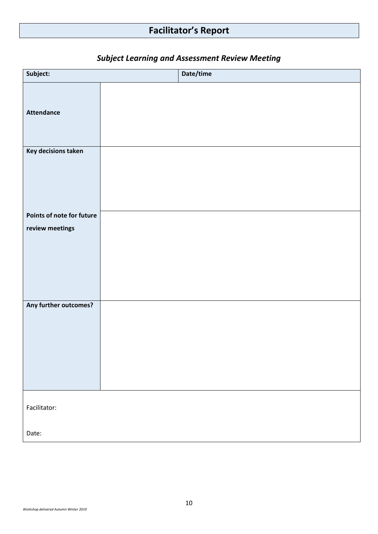# **Facilitator's Report**

| Subject:                  | Date/time |
|---------------------------|-----------|
| <b>Attendance</b>         |           |
| Key decisions taken       |           |
| Points of note for future |           |
| review meetings           |           |
| Any further outcomes?     |           |
| Facilitator:              |           |
| Date:                     |           |

# *Subject Learning and Assessment Review Meeting*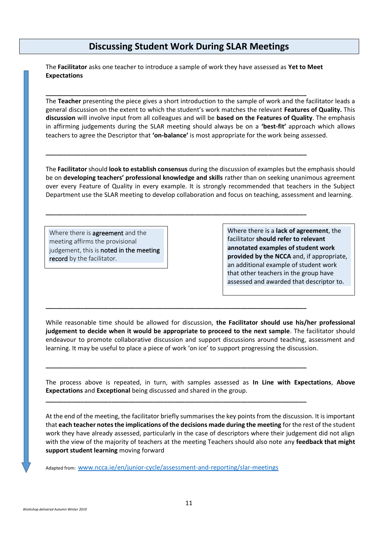# **Discussing Student Work During SLAR Meetings**

The **Facilitator** asks one teacher to introduce a sample of work they have assessed as **Yet to Meet Expectations** 

**\_\_\_\_\_\_\_\_\_\_\_\_\_\_\_\_\_\_\_\_\_\_\_\_\_\_\_\_\_\_\_\_\_\_\_\_\_\_\_\_\_\_\_\_\_\_\_\_\_\_\_\_\_\_\_\_\_\_\_\_\_\_\_\_\_\_\_\_\_\_\_\_\_\_\_**

**\_\_\_\_\_\_\_\_\_\_\_\_\_\_\_\_\_\_\_\_\_\_\_\_\_\_\_\_\_\_\_\_\_\_\_\_\_\_\_\_\_\_\_\_\_\_\_\_\_\_\_\_\_\_\_\_\_\_\_\_\_\_\_\_\_\_\_\_\_\_\_\_\_\_\_**

**\_\_\_\_\_\_\_\_\_\_\_\_\_\_\_\_\_\_\_\_\_\_\_\_\_\_\_\_\_\_\_\_\_\_\_\_\_\_\_\_\_\_\_\_\_\_\_\_\_\_\_\_\_\_\_\_\_\_\_\_\_\_\_\_\_\_\_\_\_\_\_\_\_\_\_**

**\_\_\_\_\_\_\_\_\_\_\_\_\_\_\_\_\_\_\_\_\_\_\_\_\_\_\_\_\_\_\_\_\_\_\_\_\_\_\_\_\_\_\_\_\_\_\_\_\_\_\_\_\_\_\_\_\_\_\_\_\_\_\_\_\_\_\_\_\_\_\_\_\_\_\_**

**\_\_\_\_\_\_\_\_\_\_\_\_\_\_\_\_\_\_\_\_\_\_\_\_\_\_\_\_\_\_\_\_\_\_\_\_\_\_\_\_\_\_\_\_\_\_\_\_\_\_\_\_\_\_\_\_\_\_\_\_\_\_\_\_\_\_\_\_\_\_\_\_\_\_\_**

**\_\_\_\_\_\_\_\_\_\_\_\_\_\_\_\_\_\_\_\_\_\_\_\_\_\_\_\_\_\_\_\_\_\_\_\_\_\_\_\_\_\_\_\_\_\_\_\_\_\_\_\_\_\_\_\_\_\_\_\_\_\_\_\_\_\_\_\_\_\_\_\_\_\_\_**

The **Teacher** presenting the piece gives a short introduction to the sample of work and the facilitator leads a general discussion on the extent to which the student's work matches the relevant **Features of Quality.** This **discussion** will involve input from all colleagues and will be **based on the Features of Quality**. The emphasis in affirming judgements during the SLAR meeting should always be on a **'best-fit'** approach which allows teachers to agree the Descriptor that **'on-balance'** is most appropriate for the work being assessed.

The **Facilitator** should **look to establish consensus** during the discussion of examples but the emphasis should be on **developing teachers' professional knowledge and skills** rather than on seeking unanimous agreement over every Feature of Quality in every example. It is strongly recommended that teachers in the Subject Department use the SLAR meeting to develop collaboration and focus on teaching, assessment and learning.

Where there is **agreement** and the meeting affirms the provisional judgement, this is noted in the meeting record by the facilitator.

Where there is a **lack of agreement**, the facilitator **should refer to relevant annotated examples of student work provided by the NCCA** and, if appropriate, an additional example of student work that other teachers in the group have assessed and awarded that descriptor to.

While reasonable time should be allowed for discussion, **the Facilitator should use his/her professional judgement to decide when it would be appropriate to proceed to the next sample**. The facilitator should endeavour to promote collaborative discussion and support discussions around teaching, assessment and learning. It may be useful to place a piece of work 'on ice' to support progressing the discussion.

The process above is repeated, in turn, with samples assessed as **In Line with Expectations**, **Above Expectations** and **Exceptional** being discussed and shared in the group.

At the end of the meeting, the facilitator briefly summarises the key points from the discussion. It is important that **each teacher notes the implications of the decisions made during the meeting** for the rest of the student work they have already assessed, particularly in the case of descriptors where their judgement did not align with the view of the majority of teachers at the meeting Teachers should also note any **feedback that might support student learning** moving forward

Adapted from: [www.ncca.ie/en/junior-cycle/assessment-and-reporting/slar-meetings](http://www.ncca.ie/en/junior-cycle/assessment-and-reporting/slar-meetings)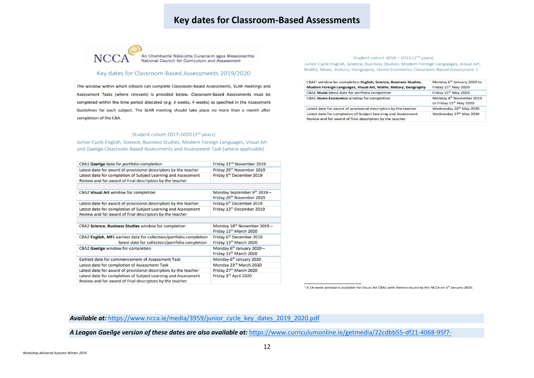# **Key dates for Classroom-Based Assessments**



An Chomhairle Náisiúnta Curaclaim agus Measúnachta<br>National Council for Curriculum and Assessment

### Key dates for Classroom-Based Assessments 2019/2020

The window within which schools can complete Classroom-Based Assessments, SLAR meetings and Assessment Tasks (where relevant) is provided below. Classroom-Based Assessments must be completed within the time period allocated (e.g. 3 weeks, 4 weeks) as specified in the Assessment Guidelines for each subject. The SLAR meeting should take place no more than a month after completion of the CBA.

#### Student cohort 2017-2020 (3rd years)

Junior Cycle English, Science, Business Studies, Modern Foreign Languages, Visual Art and Gaeilge Classroom-Based Assessments and Assessment Task (where applicable)

| CBA1 Gaeilge date for portfolio completion                                                                                | Friday 22 <sup>nd</sup> November 2019                           |
|---------------------------------------------------------------------------------------------------------------------------|-----------------------------------------------------------------|
| Latest date for award of provisional descriptors by the teacher                                                           | Friday 29th November 2019                                       |
| Latest date for completion of Subject Learning and Assessment<br>Review and for award of final descriptors by the teacher | Friday 6th December 2019                                        |
| CBA2 Visual Art window for completion                                                                                     | Monday September 9th 2019 -                                     |
|                                                                                                                           | Friday 29th November 2019                                       |
| Latest date for award of provisional descriptors by the teacher                                                           | Friday 6 <sup>th</sup> December 2019                            |
| Latest date for completion of Subject Learning and Assessment<br>Review and for award of final descriptors by the teacher | Friday 13th December 2019                                       |
|                                                                                                                           |                                                                 |
| CBA2 Science, Business Studies window for completion                                                                      | Monday 18th November 2019 -<br>Friday 13th March 2020           |
| CBA2 English, MFL earliest date for collection/portfolio completion<br>latest date for collection/portfolio completion    | Friday 6 <sup>th</sup> December 2019<br>Friday 13th March 2020  |
| CBA2 Gaeilge window for completion                                                                                        | Monday 6 <sup>th</sup> January 2020 -<br>Friday 13th March 2020 |
| Earliest date for commencement of Assessment Task                                                                         | Monday 6 <sup>th</sup> January 2020                             |
| Latest date for completion of Assessment Task                                                                             | Monday 23rd March 2020                                          |
| Latest date for award of provisional descriptors by the teacher                                                           | Friday 27th March 2020                                          |
| Latest date for completion of Subject Learning and Assessment<br>Review and for award of final descriptors by the teacher | Friday 3rd April 2020                                           |

#### Student cohort 2018 - 2021 (2<sup>nd</sup> years)

Junior Cycle English, Science, Business Studies, Modern Foreign Languages, Visual Art, Maths, Music, History, Geography, Home Economics Classroom-Based Assessment 1

| CBA1 <sup>1</sup> window for completion English, Science, Business Studies,<br>Modern Foreign Languages, Visual Art, Maths, History, Geography | Monday 6 <sup>th</sup> January 2020 to<br>Friday 15th May 2020  |  |
|------------------------------------------------------------------------------------------------------------------------------------------------|-----------------------------------------------------------------|--|
| CBA1 Music latest date for portfolio completion                                                                                                | Friday 15th May 2020                                            |  |
| CBA1 Home Economics window for completion                                                                                                      | Monday 4 <sup>th</sup> November 2019<br>to Friday 15th May 2020 |  |
| Latest date for award of provisional descriptors by the teacher                                                                                | Wednesday 20th May 2020                                         |  |
| Latest date for completion of Subject Learning and Assessment<br>Review and for award of final descriptors by the teacher                      | Wednesday 27th May 2020                                         |  |

<sup>1</sup> A 14-week window is available for Visual Art CBA1 with themes issued by the NCCA on 6<sup>th</sup> January 2020.

#### *Available at:* [https://www.ncca.ie/media/3959/junior\\_cycle\\_key\\_dates\\_2019\\_2020.pdf](https://www.ncca.ie/media/3959/junior_cycle_key_dates_2019_2020.pdf)

*A Leagan Gaeilge version of these dates are also available at:* [https://www.curriculumonline.ie/getmedia/22cdbb55-df21-4068-95f7-](https://www.curriculumonline.ie/getmedia/22cdbb55-df21-4068-95f7-bf12a78ef443/Junior_Cycle_Key_Dates_GA.pdf)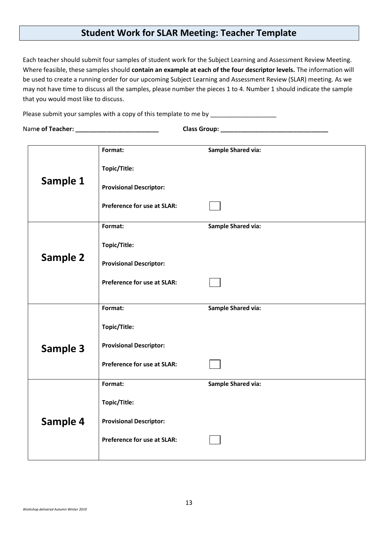# **Student Work for SLAR Meeting: Teacher Template**

Each teacher should submit four samples of student work for the Subject Learning and Assessment Review Meeting. Where feasible, these samples should **contain an example at each of the four descriptor levels.** The information will be used to create a running order for our upcoming Subject Learning and Assessment Review (SLAR) meeting. As we may not have time to discuss all the samples, please number the pieces 1 to 4. Number 1 should indicate the sample that you would most like to discuss.

Please submit your samples with a copy of this template to me by

Nam**e of Teacher: \_\_\_\_\_\_\_\_\_\_\_\_\_\_\_\_\_\_\_\_\_\_\_\_ Class Group: \_\_\_\_\_\_\_\_\_\_\_\_\_\_\_\_\_\_\_\_\_\_\_\_\_\_\_\_\_\_\_** 

|                 | Format:                            | <b>Sample Shared via:</b> |
|-----------------|------------------------------------|---------------------------|
|                 | Topic/Title:                       |                           |
| Sample 1        | <b>Provisional Descriptor:</b>     |                           |
|                 | <b>Preference for use at SLAR:</b> |                           |
|                 | Format:                            | <b>Sample Shared via:</b> |
|                 | Topic/Title:                       |                           |
| <b>Sample 2</b> | <b>Provisional Descriptor:</b>     |                           |
|                 | <b>Preference for use at SLAR:</b> |                           |
|                 | Format:                            | <b>Sample Shared via:</b> |
|                 |                                    |                           |
|                 | Topic/Title:                       |                           |
| Sample 3        | <b>Provisional Descriptor:</b>     |                           |
|                 | <b>Preference for use at SLAR:</b> |                           |
|                 | Format:                            | <b>Sample Shared via:</b> |
|                 | Topic/Title:                       |                           |
| Sample 4        | <b>Provisional Descriptor:</b>     |                           |
|                 | <b>Preference for use at SLAR:</b> |                           |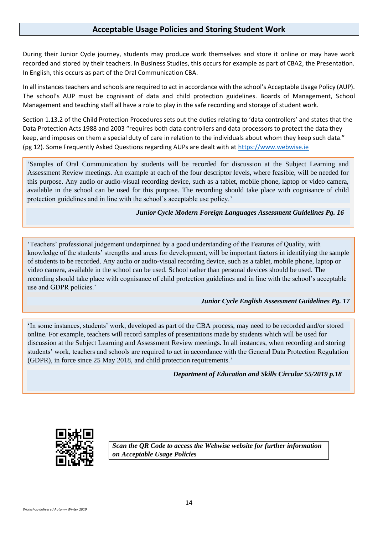## **Acceptable Usage Policies and Storing Student Work**

During their Junior Cycle journey, students may produce work themselves and store it online or may have work recorded and stored by their teachers. In Business Studies, this occurs for example as part of CBA2, the Presentation. In English, this occurs as part of the Oral Communication CBA.

In all instances teachers and schools are required to act in accordance with the school's Acceptable Usage Policy (AUP). The school's AUP must be cognisant of data and child protection guidelines. Boards of Management, School Management and teaching staff all have a role to play in the safe recording and storage of student work.

Section 1.13.2 of the Child Protection Procedures sets out the duties relating to 'data controllers' and states that the Data Protection Acts 1988 and 2003 "requires both data controllers and data processors to protect the data they keep, and imposes on them a special duty of care in relation to the individuals about whom they keep such data." (pg 12). Some Frequently Asked Questions regarding AUPs are dealt with at [https://www.webwise.ie](https://www.webwise.ie/)

'Samples of Oral Communication by students will be recorded for discussion at the Subject Learning and Assessment Review meetings. An example at each of the four descriptor levels, where feasible, will be needed for this purpose. Any audio or audio-visual recording device, such as a tablet, mobile phone, laptop or video camera, available in the school can be used for this purpose. The recording should take place with cognisance of child protection guidelines and in line with the school's acceptable use policy.'

*Junior Cycle Modern Foreign Languages Assessment Guidelines Pg. 16*

'Teachers' professional judgement underpinned by a good understanding of the Features of Quality, with knowledge of the students' strengths and areas for development, will be important factors in identifying the sample of students to be recorded. Any audio or audio-visual recording device, such as a tablet, mobile phone, laptop or video camera, available in the school can be used. School rather than personal devices should be used. The recording should take place with cognisance of child protection guidelines and in line with the school's acceptable use and GDPR policies.'

## *Junior Cycle English Assessment Guidelines Pg. 17*

'In some instances, students' work, developed as part of the CBA process, may need to be recorded and/or stored online. For example, teachers will record samples of presentations made by students which will be used for discussion at the Subject Learning and Assessment Review meetings. In all instances, when recording and storing students' work, teachers and schools are required to act in accordance with the General Data Protection Regulation (GDPR), in force since 25 May 2018, and child protection requirements.'

*Department of Education and Skills Circular 55/2019 p.18*



*Scan the QR Code to access the Webwise website for further information on Acceptable Usage Policies*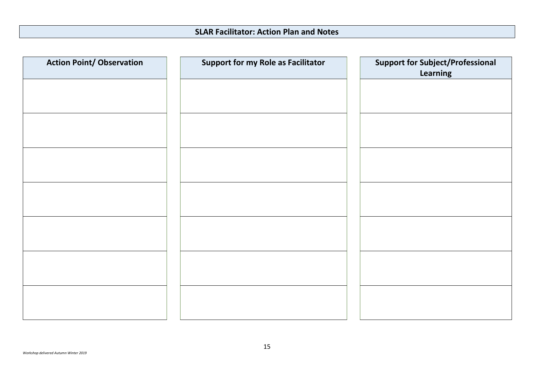| <b>Action Point/ Observation</b> | <b>Support for my Role as Facilitator</b> | <b>Support for Subject/Professional</b><br>Learning |
|----------------------------------|-------------------------------------------|-----------------------------------------------------|
|                                  |                                           |                                                     |
|                                  |                                           |                                                     |
|                                  |                                           |                                                     |
|                                  |                                           |                                                     |
|                                  |                                           |                                                     |
|                                  |                                           |                                                     |
|                                  |                                           |                                                     |
|                                  |                                           |                                                     |
|                                  |                                           |                                                     |
|                                  |                                           |                                                     |
|                                  |                                           |                                                     |
|                                  |                                           |                                                     |
|                                  |                                           |                                                     |